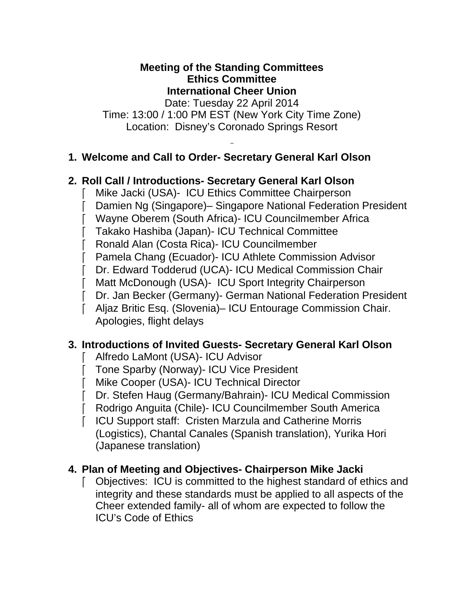#### **Meeting of the Standing Committees Ethics Committee International Cheer Union**

Date: Tuesday 22 April 2014 Time: 13:00 / 1:00 PM EST (New York City Time Zone) Location: Disney's Coronado Springs Resort

# **1. Welcome and Call to Order- Secretary General Karl Olson**

# **2. Roll Call / Introductions- Secretary General Karl Olson**

- Mike Jacki (USA)- ICU Ethics Committee Chairperson
- Damien Ng (Singapore)– Singapore National Federation President
- Wayne Oberem (South Africa)- ICU Councilmember Africa
- Takako Hashiba (Japan)- ICU Technical Committee
- Ronald Alan (Costa Rica)- ICU Councilmember
- Pamela Chang (Ecuador)- ICU Athlete Commission Advisor
- Dr. Edward Todderud (UCA)- ICU Medical Commission Chair
- Matt McDonough (USA)- ICU Sport Integrity Chairperson
- Dr. Jan Becker (Germany)- German National Federation President
- Aljaz Britic Esq. (Slovenia)– ICU Entourage Commission Chair. Apologies, flight delays

# **3. Introductions of Invited Guests- Secretary General Karl Olson**

- Alfredo LaMont (USA)- ICU Advisor
- Tone Sparby (Norway)- ICU Vice President
- Mike Cooper (USA)- ICU Technical Director
- Dr. Stefen Haug (Germany/Bahrain)- ICU Medical Commission
- Rodrigo Anguita (Chile)- ICU Councilmember South America
- ICU Support staff: Cristen Marzula and Catherine Morris (Logistics), Chantal Canales (Spanish translation), Yurika Hori (Japanese translation)

# **4. Plan of Meeting and Objectives- Chairperson Mike Jacki**

 Objectives: ICU is committed to the highest standard of ethics and integrity and these standards must be applied to all aspects of the Cheer extended family- all of whom are expected to follow the ICU's Code of Ethics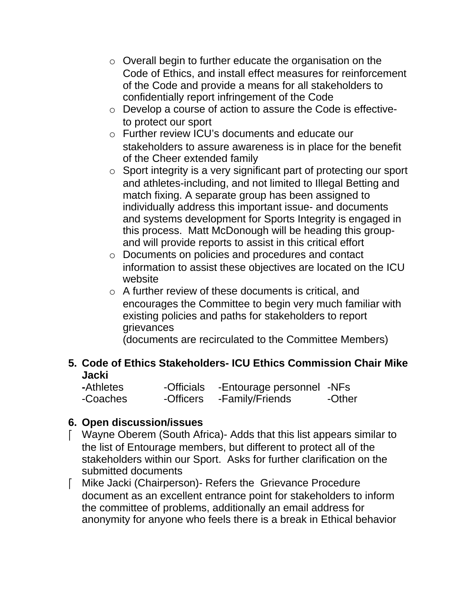- o Overall begin to further educate the organisation on the Code of Ethics, and install effect measures for reinforcement of the Code and provide a means for all stakeholders to confidentially report infringement of the Code
- o Develop a course of action to assure the Code is effectiveto protect our sport
- o Further review ICU's documents and educate our stakeholders to assure awareness is in place for the benefit of the Cheer extended family
- $\circ$  Sport integrity is a very significant part of protecting our sport and athletes-including, and not limited to Illegal Betting and match fixing. A separate group has been assigned to individually address this important issue- and documents and systems development for Sports Integrity is engaged in this process. Matt McDonough will be heading this groupand will provide reports to assist in this critical effort
- o Documents on policies and procedures and contact information to assist these objectives are located on the ICU website
- o A further review of these documents is critical, and encourages the Committee to begin very much familiar with existing policies and paths for stakeholders to report grievances

(documents are recirculated to the Committee Members)

# **5. Code of Ethics Stakeholders- ICU Ethics Commission Chair Mike Jacki**

| -Athletes | -Officials | -Entourage personnel -NFs |        |
|-----------|------------|---------------------------|--------|
| -Coaches  | -Officers  | -Family/Friends           | -Other |

# **6. Open discussion/issues**

- Wayne Oberem (South Africa)- Adds that this list appears similar to the list of Entourage members, but different to protect all of the stakeholders within our Sport. Asks for further clarification on the submitted documents
- Mike Jacki (Chairperson)- Refers the Grievance Procedure document as an excellent entrance point for stakeholders to inform the committee of problems, additionally an email address for anonymity for anyone who feels there is a break in Ethical behavior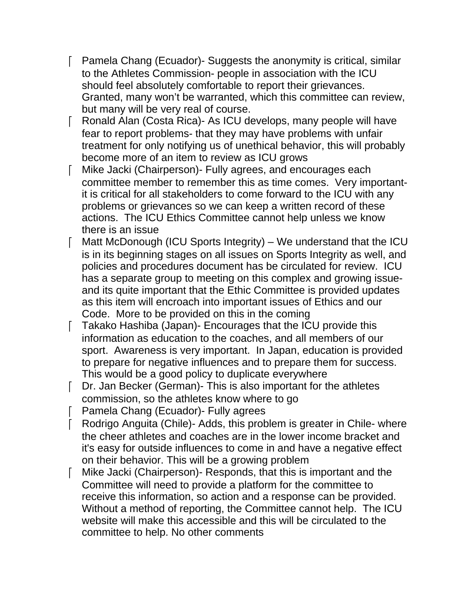- Pamela Chang (Ecuador)- Suggests the anonymity is critical, similar to the Athletes Commission- people in association with the ICU should feel absolutely comfortable to report their grievances. Granted, many won't be warranted, which this committee can review, but many will be very real of course.
- Ronald Alan (Costa Rica)- As ICU develops, many people will have fear to report problems- that they may have problems with unfair treatment for only notifying us of unethical behavior, this will probably become more of an item to review as ICU grows
- Mike Jacki (Chairperson)- Fully agrees, and encourages each committee member to remember this as time comes. Very importantit is critical for all stakeholders to come forward to the ICU with any problems or grievances so we can keep a written record of these actions. The ICU Ethics Committee cannot help unless we know there is an issue
- Matt McDonough (ICU Sports Integrity) We understand that the ICU is in its beginning stages on all issues on Sports Integrity as well, and policies and procedures document has be circulated for review. ICU has a separate group to meeting on this complex and growing issueand its quite important that the Ethic Committee is provided updates as this item will encroach into important issues of Ethics and our Code. More to be provided on this in the coming
- Takako Hashiba (Japan)- Encourages that the ICU provide this information as education to the coaches, and all members of our sport. Awareness is very important. In Japan, education is provided to prepare for negative influences and to prepare them for success. This would be a good policy to duplicate everywhere
- Dr. Jan Becker (German)- This is also important for the athletes commission, so the athletes know where to go
- Pamela Chang (Ecuador)- Fully agrees
- Rodrigo Anguita (Chile)- Adds, this problem is greater in Chile- where the cheer athletes and coaches are in the lower income bracket and it's easy for outside influences to come in and have a negative effect on their behavior. This will be a growing problem
- Mike Jacki (Chairperson)- Responds, that this is important and the Committee will need to provide a platform for the committee to receive this information, so action and a response can be provided. Without a method of reporting, the Committee cannot help. The ICU website will make this accessible and this will be circulated to the committee to help. No other comments